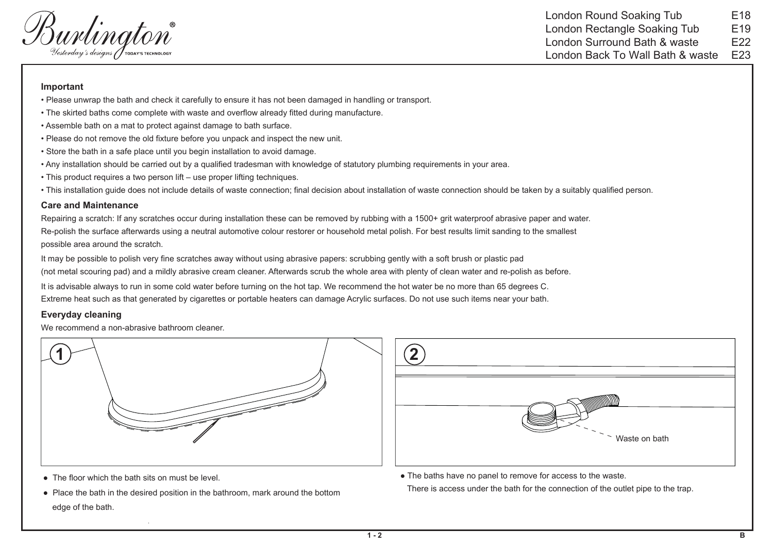Welington<sup>®</sup><br>Vesterday's designs J <del>c</del>ooky's <del>c</del>echnology

London Round Soaking Tub London Rectangle Soaking Tub London Surround Bath & waste London Back To Wall Bath & waste E19E18E22E23

## **Important**

- Please unwrap the bath and check it carefully to ensure it has not been damaged in handling or transport.
- The skirted baths come complete with waste and overflow already fitted during manufacture.
- Assemble bath on a mat to protect against damage to bath surface.
- Please do not remove the old fixture before you unpack and inspect the new unit.
- Store the bath in a safe place until you begin installation to avoid damage.
- Any installation should be carried out by a qualified tradesman with knowledge of statutory plumbing requirements in your area.
- This product requires a two person lift use proper lifting techniques.
- This installation guide does not include details of waste connection; final decision about installation of waste connection should be taken by a suitably qualified person.

## **Care and Maintenance**

Repairing a scratch: If any scratches occur during installation these can be removed by rubbing with a 1500+ grit waterproof abrasive paper and water. Re-polish the surface afterwards using a neutral automotive colour restorer or household metal polish. For best results limit sanding to the smallest possible area around the scratch.

It may be possible to polish very fine scratches away without using abrasive papers: scrubbing gently with a soft brush or plastic pad (not metal scouring pad) and a mildly abrasive cream cleaner. Afterwards scrub the whole area with plenty of clean water and re-polish as before. It is advisable always to run in some cold water before turning on the hot tap. We recommend the hot water be no more than 65 degrees C.

Extreme heat such as that generated by cigarettes or portable heaters can damage Acrylic surfaces. Do not use such items near your bath.

## **Everyday cleaning**

We recommend a non-abrasive bathroom cleaner.





- The floor which the bath sits on must be level.
- Place the bath in the desired position in the bathroom, mark around the bottom edge of the bath.

● The baths have no panel to remove for access to the waste.

There is access under the bath for the connection of the outlet pipe to the trap.